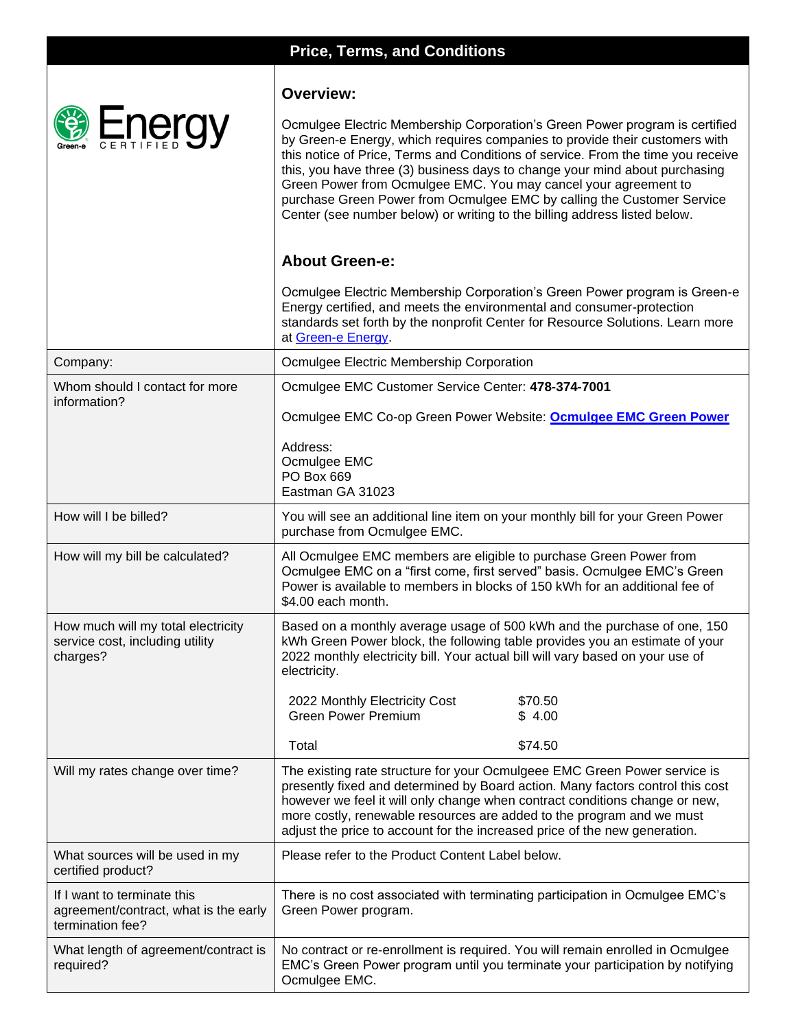|                                                                                          | <b>Price, Terms, and Conditions</b>                                                                                                                                                                                                                                                                                                                                                                                                                                                                                                                                                                                                                                                                                                                        |  |  |
|------------------------------------------------------------------------------------------|------------------------------------------------------------------------------------------------------------------------------------------------------------------------------------------------------------------------------------------------------------------------------------------------------------------------------------------------------------------------------------------------------------------------------------------------------------------------------------------------------------------------------------------------------------------------------------------------------------------------------------------------------------------------------------------------------------------------------------------------------------|--|--|
| Energy                                                                                   | <b>Overview:</b><br>Ocmulgee Electric Membership Corporation's Green Power program is certified<br>by Green-e Energy, which requires companies to provide their customers with<br>this notice of Price, Terms and Conditions of service. From the time you receive<br>this, you have three (3) business days to change your mind about purchasing<br>Green Power from Ocmulgee EMC. You may cancel your agreement to<br>purchase Green Power from Ocmulgee EMC by calling the Customer Service<br>Center (see number below) or writing to the billing address listed below.<br><b>About Green-e:</b><br>Ocmulgee Electric Membership Corporation's Green Power program is Green-e<br>Energy certified, and meets the environmental and consumer-protection |  |  |
|                                                                                          | standards set forth by the nonprofit Center for Resource Solutions. Learn more<br>at Green-e Energy                                                                                                                                                                                                                                                                                                                                                                                                                                                                                                                                                                                                                                                        |  |  |
| Company:                                                                                 | Ocmulgee Electric Membership Corporation                                                                                                                                                                                                                                                                                                                                                                                                                                                                                                                                                                                                                                                                                                                   |  |  |
| Whom should I contact for more<br>information?                                           | Ocmulgee EMC Customer Service Center: 478-374-7001<br>Ocmulgee EMC Co-op Green Power Website: <b>Ocmulgee EMC Green Power</b>                                                                                                                                                                                                                                                                                                                                                                                                                                                                                                                                                                                                                              |  |  |
|                                                                                          | Address:<br>Ocmulgee EMC<br>PO Box 669<br>Eastman GA 31023                                                                                                                                                                                                                                                                                                                                                                                                                                                                                                                                                                                                                                                                                                 |  |  |
| How will I be billed?                                                                    | You will see an additional line item on your monthly bill for your Green Power<br>purchase from Ocmulgee EMC.                                                                                                                                                                                                                                                                                                                                                                                                                                                                                                                                                                                                                                              |  |  |
| How will my bill be calculated?                                                          | All Ocmulgee EMC members are eligible to purchase Green Power from<br>Ocmulgee EMC on a "first come, first served" basis. Ocmulgee EMC's Green<br>Power is available to members in blocks of 150 kWh for an additional fee of<br>\$4.00 each month.                                                                                                                                                                                                                                                                                                                                                                                                                                                                                                        |  |  |
| How much will my total electricity<br>service cost, including utility<br>charges?        | Based on a monthly average usage of 500 kWh and the purchase of one, 150<br>kWh Green Power block, the following table provides you an estimate of your<br>2022 monthly electricity bill. Your actual bill will vary based on your use of<br>electricity.                                                                                                                                                                                                                                                                                                                                                                                                                                                                                                  |  |  |
|                                                                                          | 2022 Monthly Electricity Cost<br>\$70.50<br><b>Green Power Premium</b><br>\$4.00                                                                                                                                                                                                                                                                                                                                                                                                                                                                                                                                                                                                                                                                           |  |  |
|                                                                                          | \$74.50<br>Total                                                                                                                                                                                                                                                                                                                                                                                                                                                                                                                                                                                                                                                                                                                                           |  |  |
| Will my rates change over time?                                                          | The existing rate structure for your Ocmulgeee EMC Green Power service is<br>presently fixed and determined by Board action. Many factors control this cost<br>however we feel it will only change when contract conditions change or new,<br>more costly, renewable resources are added to the program and we must<br>adjust the price to account for the increased price of the new generation.                                                                                                                                                                                                                                                                                                                                                          |  |  |
| What sources will be used in my<br>certified product?                                    | Please refer to the Product Content Label below.                                                                                                                                                                                                                                                                                                                                                                                                                                                                                                                                                                                                                                                                                                           |  |  |
| If I want to terminate this<br>agreement/contract, what is the early<br>termination fee? | There is no cost associated with terminating participation in Ocmulgee EMC's<br>Green Power program.                                                                                                                                                                                                                                                                                                                                                                                                                                                                                                                                                                                                                                                       |  |  |
| What length of agreement/contract is<br>required?                                        | No contract or re-enrollment is required. You will remain enrolled in Ocmulgee<br>EMC's Green Power program until you terminate your participation by notifying<br>Ocmulgee EMC.                                                                                                                                                                                                                                                                                                                                                                                                                                                                                                                                                                           |  |  |